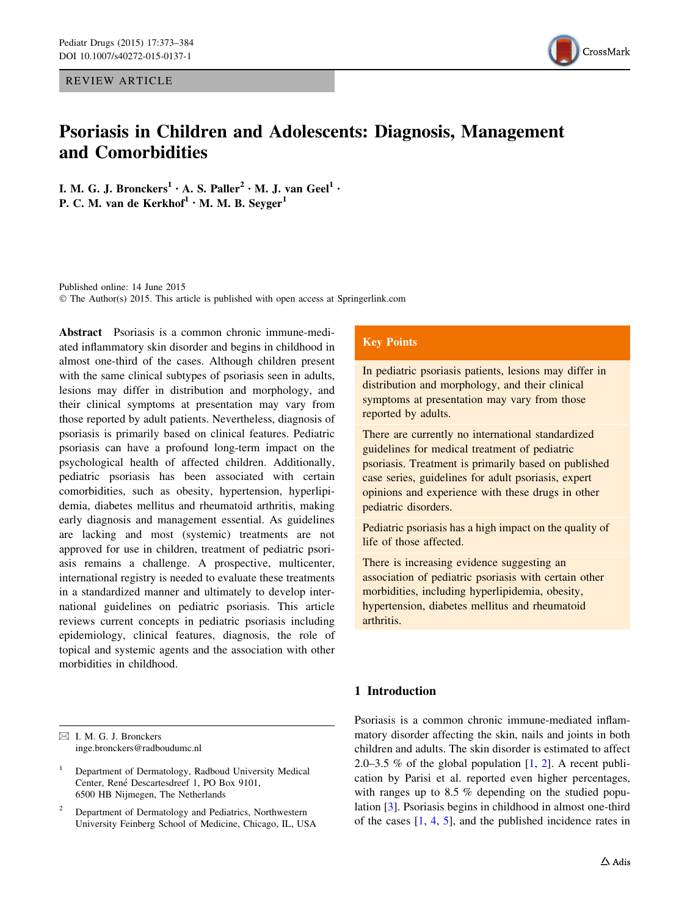REVIEW ARTICLE



# Psoriasis in Children and Adolescents: Diagnosis, Management and Comorbidities

I. M. G. J. Bronckers<sup>1</sup> · A. S. Paller<sup>2</sup> · M. J. van Geel<sup>1</sup> · P. C. M. van de Kerkhof $1 \cdot M$ . M. B. Seyger<sup>1</sup>

Published online: 14 June 2015 © The Author(s) 2015. This article is published with open access at Springerlink.com

Abstract Psoriasis is a common chronic immune-mediated inflammatory skin disorder and begins in childhood in almost one-third of the cases. Although children present with the same clinical subtypes of psoriasis seen in adults, lesions may differ in distribution and morphology, and their clinical symptoms at presentation may vary from those reported by adult patients. Nevertheless, diagnosis of psoriasis is primarily based on clinical features. Pediatric psoriasis can have a profound long-term impact on the psychological health of affected children. Additionally, pediatric psoriasis has been associated with certain comorbidities, such as obesity, hypertension, hyperlipidemia, diabetes mellitus and rheumatoid arthritis, making early diagnosis and management essential. As guidelines are lacking and most (systemic) treatments are not approved for use in children, treatment of pediatric psoriasis remains a challenge. A prospective, multicenter, international registry is needed to evaluate these treatments in a standardized manner and ultimately to develop international guidelines on pediatric psoriasis. This article reviews current concepts in pediatric psoriasis including epidemiology, clinical features, diagnosis, the role of topical and systemic agents and the association with other morbidities in childhood.

# Key Points

In pediatric psoriasis patients, lesions may differ in distribution and morphology, and their clinical symptoms at presentation may vary from those reported by adults.

There are currently no international standardized guidelines for medical treatment of pediatric psoriasis. Treatment is primarily based on published case series, guidelines for adult psoriasis, expert opinions and experience with these drugs in other pediatric disorders.

Pediatric psoriasis has a high impact on the quality of life of those affected.

There is increasing evidence suggesting an association of pediatric psoriasis with certain other morbidities, including hyperlipidemia, obesity, hypertension, diabetes mellitus and rheumatoid arthritis.

# 1 Introduction

Psoriasis is a common chronic immune-mediated inflammatory disorder affecting the skin, nails and joints in both children and adults. The skin disorder is estimated to affect 2.0–3.5 % of the global population  $[1, 2]$  $[1, 2]$  $[1, 2]$  $[1, 2]$ . A recent publication by Parisi et al. reported even higher percentages, with ranges up to 8.5 % depending on the studied population [[3\]](#page-8-0). Psoriasis begins in childhood in almost one-third of the cases  $[1, 4, 5]$  $[1, 4, 5]$  $[1, 4, 5]$  $[1, 4, 5]$  $[1, 4, 5]$ , and the published incidence rates in

 $\boxtimes$  I. M. G. J. Bronckers inge.bronckers@radboudumc.nl

<sup>1</sup> Department of Dermatology, Radboud University Medical Center, René Descartesdreef 1, PO Box 9101, 6500 HB Nijmegen, The Netherlands

<sup>2</sup> Department of Dermatology and Pediatrics, Northwestern University Feinberg School of Medicine, Chicago, IL, USA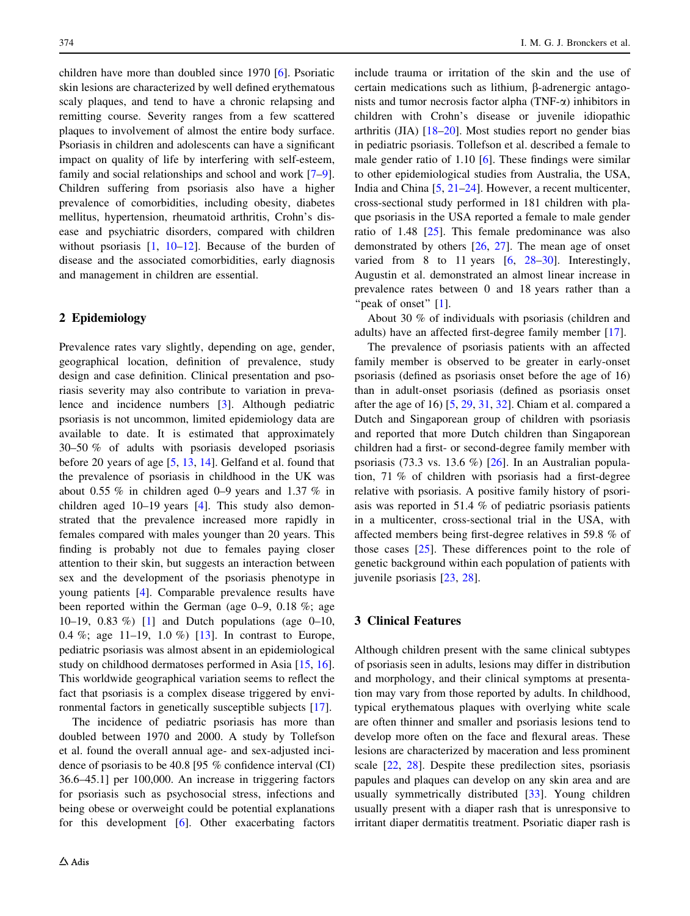children have more than doubled since 1970 [[6\]](#page-8-0). Psoriatic skin lesions are characterized by well defined erythematous scaly plaques, and tend to have a chronic relapsing and remitting course. Severity ranges from a few scattered plaques to involvement of almost the entire body surface. Psoriasis in children and adolescents can have a significant impact on quality of life by interfering with self-esteem, family and social relationships and school and work [\[7–9](#page-8-0)]. Children suffering from psoriasis also have a higher prevalence of comorbidities, including obesity, diabetes mellitus, hypertension, rheumatoid arthritis, Crohn's disease and psychiatric disorders, compared with children without psoriasis  $[1, 10-12]$  $[1, 10-12]$ . Because of the burden of disease and the associated comorbidities, early diagnosis and management in children are essential.

# 2 Epidemiology

Prevalence rates vary slightly, depending on age, gender, geographical location, definition of prevalence, study design and case definition. Clinical presentation and psoriasis severity may also contribute to variation in prevalence and incidence numbers [\[3](#page-8-0)]. Although pediatric psoriasis is not uncommon, limited epidemiology data are available to date. It is estimated that approximately 30–50 % of adults with psoriasis developed psoriasis before 20 years of age [\[5](#page-8-0), [13](#page-8-0), [14](#page-8-0)]. Gelfand et al. found that the prevalence of psoriasis in childhood in the UK was about 0.55 % in children aged 0–9 years and 1.37 % in children aged 10–19 years [\[4](#page-8-0)]. This study also demonstrated that the prevalence increased more rapidly in females compared with males younger than 20 years. This finding is probably not due to females paying closer attention to their skin, but suggests an interaction between sex and the development of the psoriasis phenotype in young patients [[4\]](#page-8-0). Comparable prevalence results have been reported within the German (age 0–9, 0.18 %; age 10–19, 0.83 %) [\[1](#page-8-0)] and Dutch populations (age  $0-10$ , 0.4 %; age 11–19, 1.0 %) [\[13](#page-8-0)]. In contrast to Europe, pediatric psoriasis was almost absent in an epidemiological study on childhood dermatoses performed in Asia [\[15](#page-8-0), [16](#page-8-0)]. This worldwide geographical variation seems to reflect the fact that psoriasis is a complex disease triggered by environmental factors in genetically susceptible subjects [[17\]](#page-8-0).

The incidence of pediatric psoriasis has more than doubled between 1970 and 2000. A study by Tollefson et al. found the overall annual age- and sex-adjusted incidence of psoriasis to be 40.8 [95 % confidence interval (CI) 36.6–45.1] per 100,000. An increase in triggering factors for psoriasis such as psychosocial stress, infections and being obese or overweight could be potential explanations for this development [[6\]](#page-8-0). Other exacerbating factors include trauma or irritation of the skin and the use of certain medications such as lithium,  $\beta$ -adrenergic antagonists and tumor necrosis factor alpha (TNF- $\alpha$ ) inhibitors in children with Crohn's disease or juvenile idiopathic arthritis (JIA) [\[18](#page-8-0)[–20](#page-9-0)]. Most studies report no gender bias in pediatric psoriasis. Tollefson et al. described a female to male gender ratio of 1.10 [[6\]](#page-8-0). These findings were similar to other epidemiological studies from Australia, the USA, India and China [\[5](#page-8-0), [21–24](#page-9-0)]. However, a recent multicenter, cross-sectional study performed in 181 children with plaque psoriasis in the USA reported a female to male gender ratio of 1.48 [\[25](#page-9-0)]. This female predominance was also demonstrated by others [\[26](#page-9-0), [27\]](#page-9-0). The mean age of onset varied from 8 to 11 years [\[6](#page-8-0), [28–30\]](#page-9-0). Interestingly, Augustin et al. demonstrated an almost linear increase in prevalence rates between 0 and 18 years rather than a "peak of onset"  $[1]$  $[1]$ .

About 30 % of individuals with psoriasis (children and adults) have an affected first-degree family member [\[17](#page-8-0)].

The prevalence of psoriasis patients with an affected family member is observed to be greater in early-onset psoriasis (defined as psoriasis onset before the age of 16) than in adult-onset psoriasis (defined as psoriasis onset after the age of 16) [\[5](#page-8-0), [29](#page-9-0), [31](#page-9-0), [32](#page-9-0)]. Chiam et al. compared a Dutch and Singaporean group of children with psoriasis and reported that more Dutch children than Singaporean children had a first- or second-degree family member with psoriasis (73.3 vs. 13.6 %) [[26\]](#page-9-0). In an Australian population, 71 % of children with psoriasis had a first-degree relative with psoriasis. A positive family history of psoriasis was reported in 51.4 % of pediatric psoriasis patients in a multicenter, cross-sectional trial in the USA, with affected members being first-degree relatives in 59.8 % of those cases  $[25]$  $[25]$ . These differences point to the role of genetic background within each population of patients with juvenile psoriasis [\[23](#page-9-0), [28](#page-9-0)].

# 3 Clinical Features

Although children present with the same clinical subtypes of psoriasis seen in adults, lesions may differ in distribution and morphology, and their clinical symptoms at presentation may vary from those reported by adults. In childhood, typical erythematous plaques with overlying white scale are often thinner and smaller and psoriasis lesions tend to develop more often on the face and flexural areas. These lesions are characterized by maceration and less prominent scale [\[22](#page-9-0), [28](#page-9-0)]. Despite these predilection sites, psoriasis papules and plaques can develop on any skin area and are usually symmetrically distributed [\[33](#page-9-0)]. Young children usually present with a diaper rash that is unresponsive to irritant diaper dermatitis treatment. Psoriatic diaper rash is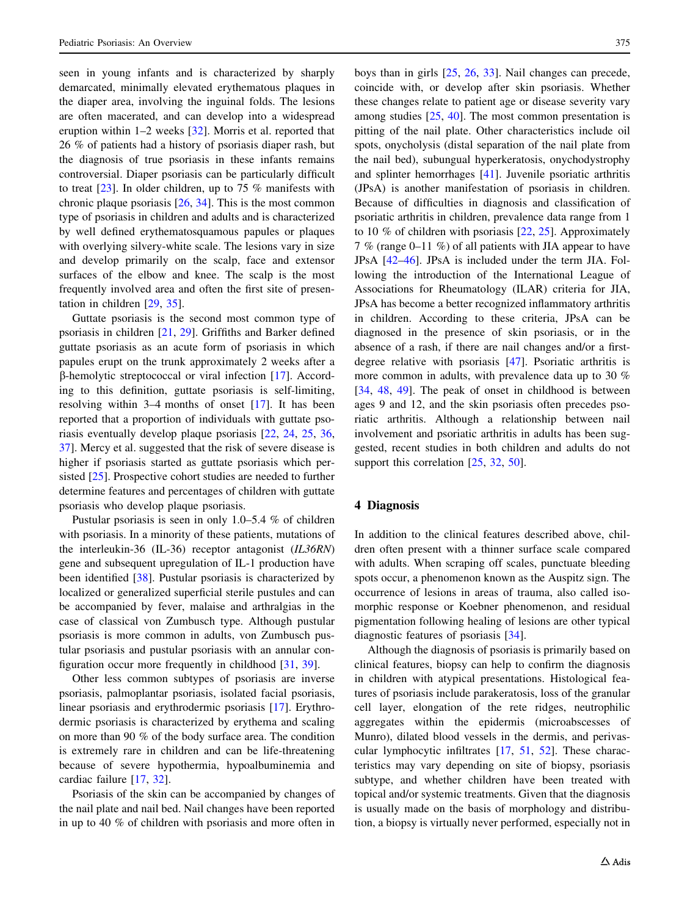seen in young infants and is characterized by sharply demarcated, minimally elevated erythematous plaques in the diaper area, involving the inguinal folds. The lesions are often macerated, and can develop into a widespread eruption within 1–2 weeks [[32\]](#page-9-0). Morris et al. reported that 26 % of patients had a history of psoriasis diaper rash, but the diagnosis of true psoriasis in these infants remains controversial. Diaper psoriasis can be particularly difficult to treat  $[23]$  $[23]$ . In older children, up to 75 % manifests with chronic plaque psoriasis [[26,](#page-9-0) [34](#page-9-0)]. This is the most common type of psoriasis in children and adults and is characterized by well defined erythematosquamous papules or plaques with overlying silvery-white scale. The lesions vary in size and develop primarily on the scalp, face and extensor surfaces of the elbow and knee. The scalp is the most frequently involved area and often the first site of presentation in children [[29,](#page-9-0) [35\]](#page-9-0).

Guttate psoriasis is the second most common type of psoriasis in children [[21,](#page-9-0) [29](#page-9-0)]. Griffiths and Barker defined guttate psoriasis as an acute form of psoriasis in which papules erupt on the trunk approximately 2 weeks after a b-hemolytic streptococcal or viral infection [[17\]](#page-8-0). According to this definition, guttate psoriasis is self-limiting, resolving within 3–4 months of onset [[17\]](#page-8-0). It has been reported that a proportion of individuals with guttate psoriasis eventually develop plaque psoriasis [\[22,](#page-9-0) [24,](#page-9-0) [25,](#page-9-0) [36,](#page-9-0) [37\]](#page-9-0). Mercy et al. suggested that the risk of severe disease is higher if psoriasis started as guttate psoriasis which persisted [[25\]](#page-9-0). Prospective cohort studies are needed to further determine features and percentages of children with guttate psoriasis who develop plaque psoriasis.

Pustular psoriasis is seen in only 1.0–5.4 % of children with psoriasis. In a minority of these patients, mutations of the interleukin-36 (IL-36) receptor antagonist (IL36RN) gene and subsequent upregulation of IL-1 production have been identified [\[38](#page-9-0)]. Pustular psoriasis is characterized by localized or generalized superficial sterile pustules and can be accompanied by fever, malaise and arthralgias in the case of classical von Zumbusch type. Although pustular psoriasis is more common in adults, von Zumbusch pustular psoriasis and pustular psoriasis with an annular configuration occur more frequently in childhood [[31,](#page-9-0) [39\]](#page-9-0).

Other less common subtypes of psoriasis are inverse psoriasis, palmoplantar psoriasis, isolated facial psoriasis, linear psoriasis and erythrodermic psoriasis [[17\]](#page-8-0). Erythrodermic psoriasis is characterized by erythema and scaling on more than 90 % of the body surface area. The condition is extremely rare in children and can be life-threatening because of severe hypothermia, hypoalbuminemia and cardiac failure [\[17](#page-8-0), [32\]](#page-9-0).

Psoriasis of the skin can be accompanied by changes of the nail plate and nail bed. Nail changes have been reported in up to 40 % of children with psoriasis and more often in boys than in girls [\[25](#page-9-0), [26](#page-9-0), [33](#page-9-0)]. Nail changes can precede, coincide with, or develop after skin psoriasis. Whether these changes relate to patient age or disease severity vary among studies [[25,](#page-9-0) [40\]](#page-9-0). The most common presentation is pitting of the nail plate. Other characteristics include oil spots, onycholysis (distal separation of the nail plate from the nail bed), subungual hyperkeratosis, onychodystrophy and splinter hemorrhages [\[41](#page-9-0)]. Juvenile psoriatic arthritis (JPsA) is another manifestation of psoriasis in children. Because of difficulties in diagnosis and classification of psoriatic arthritis in children, prevalence data range from 1 to 10 % of children with psoriasis  $[22, 25]$  $[22, 25]$  $[22, 25]$  $[22, 25]$ . Approximately 7 % (range 0–11 %) of all patients with JIA appear to have JPsA [[42–46\]](#page-9-0). JPsA is included under the term JIA. Following the introduction of the International League of Associations for Rheumatology (ILAR) criteria for JIA, JPsA has become a better recognized inflammatory arthritis in children. According to these criteria, JPsA can be diagnosed in the presence of skin psoriasis, or in the absence of a rash, if there are nail changes and/or a firstdegree relative with psoriasis [[47\]](#page-9-0). Psoriatic arthritis is more common in adults, with prevalence data up to 30 % [\[34](#page-9-0), [48](#page-9-0), [49\]](#page-9-0). The peak of onset in childhood is between ages 9 and 12, and the skin psoriasis often precedes psoriatic arthritis. Although a relationship between nail involvement and psoriatic arthritis in adults has been suggested, recent studies in both children and adults do not support this correlation [\[25](#page-9-0), [32](#page-9-0), [50\]](#page-9-0).

# 4 Diagnosis

In addition to the clinical features described above, children often present with a thinner surface scale compared with adults. When scraping off scales, punctuate bleeding spots occur, a phenomenon known as the Auspitz sign. The occurrence of lesions in areas of trauma, also called isomorphic response or Koebner phenomenon, and residual pigmentation following healing of lesions are other typical diagnostic features of psoriasis [[34\]](#page-9-0).

Although the diagnosis of psoriasis is primarily based on clinical features, biopsy can help to confirm the diagnosis in children with atypical presentations. Histological features of psoriasis include parakeratosis, loss of the granular cell layer, elongation of the rete ridges, neutrophilic aggregates within the epidermis (microabscesses of Munro), dilated blood vessels in the dermis, and perivascular lymphocytic infiltrates [\[17](#page-8-0), [51,](#page-9-0) [52\]](#page-9-0). These characteristics may vary depending on site of biopsy, psoriasis subtype, and whether children have been treated with topical and/or systemic treatments. Given that the diagnosis is usually made on the basis of morphology and distribution, a biopsy is virtually never performed, especially not in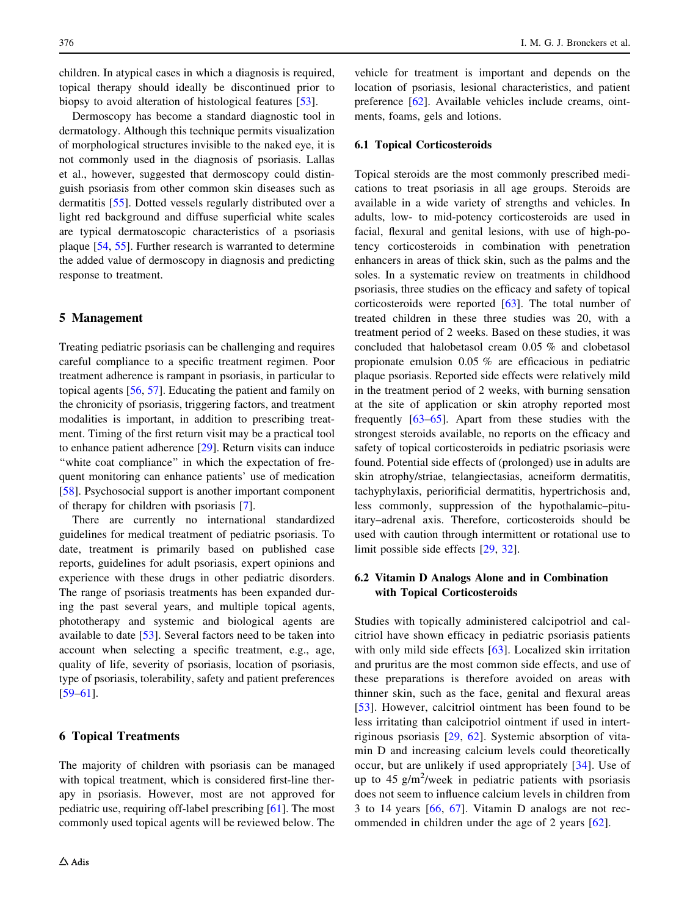children. In atypical cases in which a diagnosis is required, topical therapy should ideally be discontinued prior to biopsy to avoid alteration of histological features [[53](#page-9-0)].

Dermoscopy has become a standard diagnostic tool in dermatology. Although this technique permits visualization of morphological structures invisible to the naked eye, it is not commonly used in the diagnosis of psoriasis. Lallas et al., however, suggested that dermoscopy could distinguish psoriasis from other common skin diseases such as dermatitis [[55\]](#page-9-0). Dotted vessels regularly distributed over a light red background and diffuse superficial white scales are typical dermatoscopic characteristics of a psoriasis plaque [[54,](#page-9-0) [55](#page-9-0)]. Further research is warranted to determine the added value of dermoscopy in diagnosis and predicting response to treatment.

# 5 Management

Treating pediatric psoriasis can be challenging and requires careful compliance to a specific treatment regimen. Poor treatment adherence is rampant in psoriasis, in particular to topical agents [\[56](#page-9-0), [57](#page-9-0)]. Educating the patient and family on the chronicity of psoriasis, triggering factors, and treatment modalities is important, in addition to prescribing treatment. Timing of the first return visit may be a practical tool to enhance patient adherence [[29\]](#page-9-0). Return visits can induce ''white coat compliance'' in which the expectation of frequent monitoring can enhance patients' use of medication [\[58](#page-9-0)]. Psychosocial support is another important component of therapy for children with psoriasis [[7\]](#page-8-0).

There are currently no international standardized guidelines for medical treatment of pediatric psoriasis. To date, treatment is primarily based on published case reports, guidelines for adult psoriasis, expert opinions and experience with these drugs in other pediatric disorders. The range of psoriasis treatments has been expanded during the past several years, and multiple topical agents, phototherapy and systemic and biological agents are available to date [\[53](#page-9-0)]. Several factors need to be taken into account when selecting a specific treatment, e.g., age, quality of life, severity of psoriasis, location of psoriasis, type of psoriasis, tolerability, safety and patient preferences [\[59–61](#page-10-0)].

## 6 Topical Treatments

The majority of children with psoriasis can be managed with topical treatment, which is considered first-line therapy in psoriasis. However, most are not approved for pediatric use, requiring off-label prescribing [[61](#page-10-0)]. The most commonly used topical agents will be reviewed below. The

vehicle for treatment is important and depends on the location of psoriasis, lesional characteristics, and patient preference [\[62](#page-10-0)]. Available vehicles include creams, ointments, foams, gels and lotions.

## 6.1 Topical Corticosteroids

Topical steroids are the most commonly prescribed medications to treat psoriasis in all age groups. Steroids are available in a wide variety of strengths and vehicles. In adults, low- to mid-potency corticosteroids are used in facial, flexural and genital lesions, with use of high-potency corticosteroids in combination with penetration enhancers in areas of thick skin, such as the palms and the soles. In a systematic review on treatments in childhood psoriasis, three studies on the efficacy and safety of topical corticosteroids were reported [\[63](#page-10-0)]. The total number of treated children in these three studies was 20, with a treatment period of 2 weeks. Based on these studies, it was concluded that halobetasol cream 0.05 % and clobetasol propionate emulsion 0.05 % are efficacious in pediatric plaque psoriasis. Reported side effects were relatively mild in the treatment period of 2 weeks, with burning sensation at the site of application or skin atrophy reported most frequently [[63–65\]](#page-10-0). Apart from these studies with the strongest steroids available, no reports on the efficacy and safety of topical corticosteroids in pediatric psoriasis were found. Potential side effects of (prolonged) use in adults are skin atrophy/striae, telangiectasias, acneiform dermatitis, tachyphylaxis, periorificial dermatitis, hypertrichosis and, less commonly, suppression of the hypothalamic–pituitary–adrenal axis. Therefore, corticosteroids should be used with caution through intermittent or rotational use to limit possible side effects [\[29](#page-9-0), [32](#page-9-0)].

# 6.2 Vitamin D Analogs Alone and in Combination with Topical Corticosteroids

Studies with topically administered calcipotriol and calcitriol have shown efficacy in pediatric psoriasis patients with only mild side effects [[63\]](#page-10-0). Localized skin irritation and pruritus are the most common side effects, and use of these preparations is therefore avoided on areas with thinner skin, such as the face, genital and flexural areas [[53\]](#page-9-0). However, calcitriol ointment has been found to be less irritating than calcipotriol ointment if used in intertriginous psoriasis [[29](#page-9-0), [62](#page-10-0)]. Systemic absorption of vitamin D and increasing calcium levels could theoretically occur, but are unlikely if used appropriately [\[34](#page-9-0)]. Use of up to 45  $g/m^2$ /week in pediatric patients with psoriasis does not seem to influence calcium levels in children from 3 to 14 years [[66](#page-10-0), [67](#page-10-0)]. Vitamin D analogs are not recommended in children under the age of 2 years [[62\]](#page-10-0).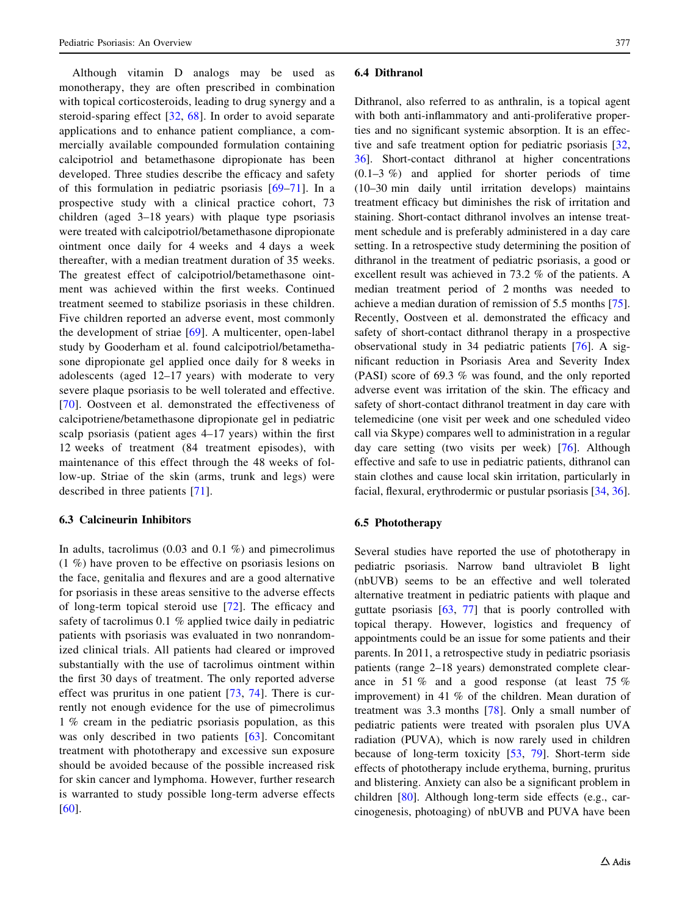Although vitamin D analogs may be used as monotherapy, they are often prescribed in combination with topical corticosteroids, leading to drug synergy and a steroid-sparing effect [[32](#page-9-0), [68](#page-10-0)]. In order to avoid separate applications and to enhance patient compliance, a commercially available compounded formulation containing calcipotriol and betamethasone dipropionate has been developed. Three studies describe the efficacy and safety of this formulation in pediatric psoriasis [[69–71\]](#page-10-0). In a prospective study with a clinical practice cohort, 73 children (aged 3–18 years) with plaque type psoriasis were treated with calcipotriol/betamethasone dipropionate ointment once daily for 4 weeks and 4 days a week thereafter, with a median treatment duration of 35 weeks. The greatest effect of calcipotriol/betamethasone ointment was achieved within the first weeks. Continued treatment seemed to stabilize psoriasis in these children. Five children reported an adverse event, most commonly the development of striae  $[69]$ . A multicenter, open-label study by Gooderham et al. found calcipotriol/betamethasone dipropionate gel applied once daily for 8 weeks in adolescents (aged 12–17 years) with moderate to very severe plaque psoriasis to be well tolerated and effective. [\[70\]](#page-10-0). Oostveen et al. demonstrated the effectiveness of calcipotriene/betamethasone dipropionate gel in pediatric scalp psoriasis (patient ages 4–17 years) within the first 12 weeks of treatment (84 treatment episodes), with maintenance of this effect through the 48 weeks of follow-up. Striae of the skin (arms, trunk and legs) were described in three patients [[71\]](#page-10-0).

# 6.3 Calcineurin Inhibitors

In adults, tacrolimus  $(0.03 \text{ and } 0.1 \text{ %})$  and pimecrolimus (1 %) have proven to be effective on psoriasis lesions on the face, genitalia and flexures and are a good alternative for psoriasis in these areas sensitive to the adverse effects of long-term topical steroid use [[72](#page-10-0)]. The efficacy and safety of tacrolimus 0.1 % applied twice daily in pediatric patients with psoriasis was evaluated in two nonrandomized clinical trials. All patients had cleared or improved substantially with the use of tacrolimus ointment within the first 30 days of treatment. The only reported adverse effect was pruritus in one patient [\[73,](#page-10-0) [74\]](#page-10-0). There is currently not enough evidence for the use of pimecrolimus 1 % cream in the pediatric psoriasis population, as this was only described in two patients [[63](#page-10-0)]. Concomitant treatment with phototherapy and excessive sun exposure should be avoided because of the possible increased risk for skin cancer and lymphoma. However, further research is warranted to study possible long-term adverse effects [\[60\]](#page-10-0).

#### 6.4 Dithranol

Dithranol, also referred to as anthralin, is a topical agent with both anti-inflammatory and anti-proliferative properties and no significant systemic absorption. It is an effective and safe treatment option for pediatric psoriasis [[32,](#page-9-0) [36](#page-9-0)]. Short-contact dithranol at higher concentrations  $(0.1-3 \%)$  and applied for shorter periods of time (10–30 min daily until irritation develops) maintains treatment efficacy but diminishes the risk of irritation and staining. Short-contact dithranol involves an intense treatment schedule and is preferably administered in a day care setting. In a retrospective study determining the position of dithranol in the treatment of pediatric psoriasis, a good or excellent result was achieved in 73.2 % of the patients. A median treatment period of 2 months was needed to achieve a median duration of remission of 5.5 months [\[75](#page-10-0)]. Recently, Oostveen et al. demonstrated the efficacy and safety of short-contact dithranol therapy in a prospective observational study in 34 pediatric patients [[76\]](#page-10-0). A significant reduction in Psoriasis Area and Severity Index (PASI) score of 69.3 % was found, and the only reported adverse event was irritation of the skin. The efficacy and safety of short-contact dithranol treatment in day care with telemedicine (one visit per week and one scheduled video call via Skype) compares well to administration in a regular day care setting (two visits per week) [[76\]](#page-10-0). Although effective and safe to use in pediatric patients, dithranol can stain clothes and cause local skin irritation, particularly in facial, flexural, erythrodermic or pustular psoriasis [[34,](#page-9-0) [36](#page-9-0)].

## 6.5 Phototherapy

Several studies have reported the use of phototherapy in pediatric psoriasis. Narrow band ultraviolet B light (nbUVB) seems to be an effective and well tolerated alternative treatment in pediatric patients with plaque and guttate psoriasis  $[63, 77]$  $[63, 77]$  $[63, 77]$  $[63, 77]$  $[63, 77]$  that is poorly controlled with topical therapy. However, logistics and frequency of appointments could be an issue for some patients and their parents. In 2011, a retrospective study in pediatric psoriasis patients (range 2–18 years) demonstrated complete clearance in 51 % and a good response (at least 75 % improvement) in 41 % of the children. Mean duration of treatment was 3.3 months [\[78](#page-10-0)]. Only a small number of pediatric patients were treated with psoralen plus UVA radiation (PUVA), which is now rarely used in children because of long-term toxicity [[53,](#page-9-0) [79](#page-10-0)]. Short-term side effects of phototherapy include erythema, burning, pruritus and blistering. Anxiety can also be a significant problem in children [[80\]](#page-10-0). Although long-term side effects (e.g., carcinogenesis, photoaging) of nbUVB and PUVA have been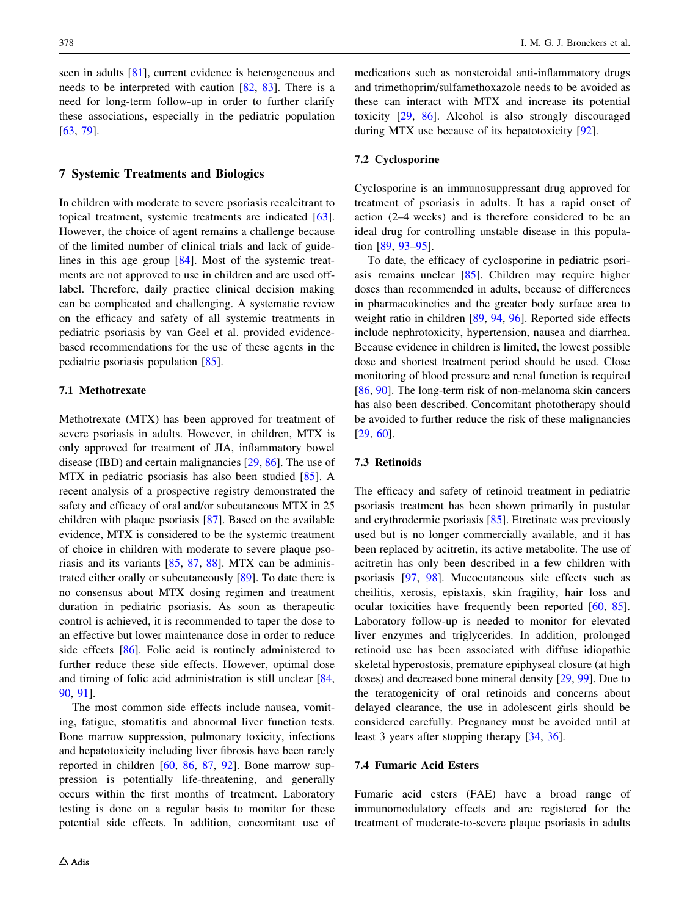seen in adults [[81\]](#page-10-0), current evidence is heterogeneous and needs to be interpreted with caution [[82,](#page-10-0) [83](#page-10-0)]. There is a need for long-term follow-up in order to further clarify these associations, especially in the pediatric population [\[63](#page-10-0), [79](#page-10-0)].

#### 7 Systemic Treatments and Biologics

In children with moderate to severe psoriasis recalcitrant to topical treatment, systemic treatments are indicated [\[63](#page-10-0)]. However, the choice of agent remains a challenge because of the limited number of clinical trials and lack of guidelines in this age group [\[84](#page-10-0)]. Most of the systemic treatments are not approved to use in children and are used offlabel. Therefore, daily practice clinical decision making can be complicated and challenging. A systematic review on the efficacy and safety of all systemic treatments in pediatric psoriasis by van Geel et al. provided evidencebased recommendations for the use of these agents in the pediatric psoriasis population [\[85](#page-10-0)].

#### 7.1 Methotrexate

Methotrexate (MTX) has been approved for treatment of severe psoriasis in adults. However, in children, MTX is only approved for treatment of JIA, inflammatory bowel disease (IBD) and certain malignancies [[29,](#page-9-0) [86\]](#page-10-0). The use of MTX in pediatric psoriasis has also been studied [\[85](#page-10-0)]. A recent analysis of a prospective registry demonstrated the safety and efficacy of oral and/or subcutaneous MTX in 25 children with plaque psoriasis [[87\]](#page-10-0). Based on the available evidence, MTX is considered to be the systemic treatment of choice in children with moderate to severe plaque psoriasis and its variants [[85,](#page-10-0) [87,](#page-10-0) [88](#page-10-0)]. MTX can be administrated either orally or subcutaneously [\[89](#page-10-0)]. To date there is no consensus about MTX dosing regimen and treatment duration in pediatric psoriasis. As soon as therapeutic control is achieved, it is recommended to taper the dose to an effective but lower maintenance dose in order to reduce side effects [\[86](#page-10-0)]. Folic acid is routinely administered to further reduce these side effects. However, optimal dose and timing of folic acid administration is still unclear [[84,](#page-10-0) [90,](#page-10-0) [91\]](#page-10-0).

The most common side effects include nausea, vomiting, fatigue, stomatitis and abnormal liver function tests. Bone marrow suppression, pulmonary toxicity, infections and hepatotoxicity including liver fibrosis have been rarely reported in children [\[60](#page-10-0), [86,](#page-10-0) [87,](#page-10-0) [92](#page-10-0)]. Bone marrow suppression is potentially life-threatening, and generally occurs within the first months of treatment. Laboratory testing is done on a regular basis to monitor for these potential side effects. In addition, concomitant use of medications such as nonsteroidal anti-inflammatory drugs and trimethoprim/sulfamethoxazole needs to be avoided as these can interact with MTX and increase its potential toxicity [[29,](#page-9-0) [86\]](#page-10-0). Alcohol is also strongly discouraged during MTX use because of its hepatotoxicity [\[92](#page-10-0)].

#### 7.2 Cyclosporine

Cyclosporine is an immunosuppressant drug approved for treatment of psoriasis in adults. It has a rapid onset of action (2–4 weeks) and is therefore considered to be an ideal drug for controlling unstable disease in this population [\[89](#page-10-0), [93](#page-10-0)[–95](#page-11-0)].

To date, the efficacy of cyclosporine in pediatric psoriasis remains unclear [\[85](#page-10-0)]. Children may require higher doses than recommended in adults, because of differences in pharmacokinetics and the greater body surface area to weight ratio in children [\[89](#page-10-0), [94,](#page-11-0) [96\]](#page-11-0). Reported side effects include nephrotoxicity, hypertension, nausea and diarrhea. Because evidence in children is limited, the lowest possible dose and shortest treatment period should be used. Close monitoring of blood pressure and renal function is required [\[86](#page-10-0), [90\]](#page-10-0). The long-term risk of non-melanoma skin cancers has also been described. Concomitant phototherapy should be avoided to further reduce the risk of these malignancies [\[29](#page-9-0), [60](#page-10-0)].

# 7.3 Retinoids

The efficacy and safety of retinoid treatment in pediatric psoriasis treatment has been shown primarily in pustular and erythrodermic psoriasis [[85\]](#page-10-0). Etretinate was previously used but is no longer commercially available, and it has been replaced by acitretin, its active metabolite. The use of acitretin has only been described in a few children with psoriasis [[97,](#page-11-0) [98\]](#page-11-0). Mucocutaneous side effects such as cheilitis, xerosis, epistaxis, skin fragility, hair loss and ocular toxicities have frequently been reported [\[60](#page-10-0), [85](#page-10-0)]. Laboratory follow-up is needed to monitor for elevated liver enzymes and triglycerides. In addition, prolonged retinoid use has been associated with diffuse idiopathic skeletal hyperostosis, premature epiphyseal closure (at high doses) and decreased bone mineral density [[29,](#page-9-0) [99\]](#page-11-0). Due to the teratogenicity of oral retinoids and concerns about delayed clearance, the use in adolescent girls should be considered carefully. Pregnancy must be avoided until at least 3 years after stopping therapy [[34,](#page-9-0) [36\]](#page-9-0).

## 7.4 Fumaric Acid Esters

Fumaric acid esters (FAE) have a broad range of immunomodulatory effects and are registered for the treatment of moderate-to-severe plaque psoriasis in adults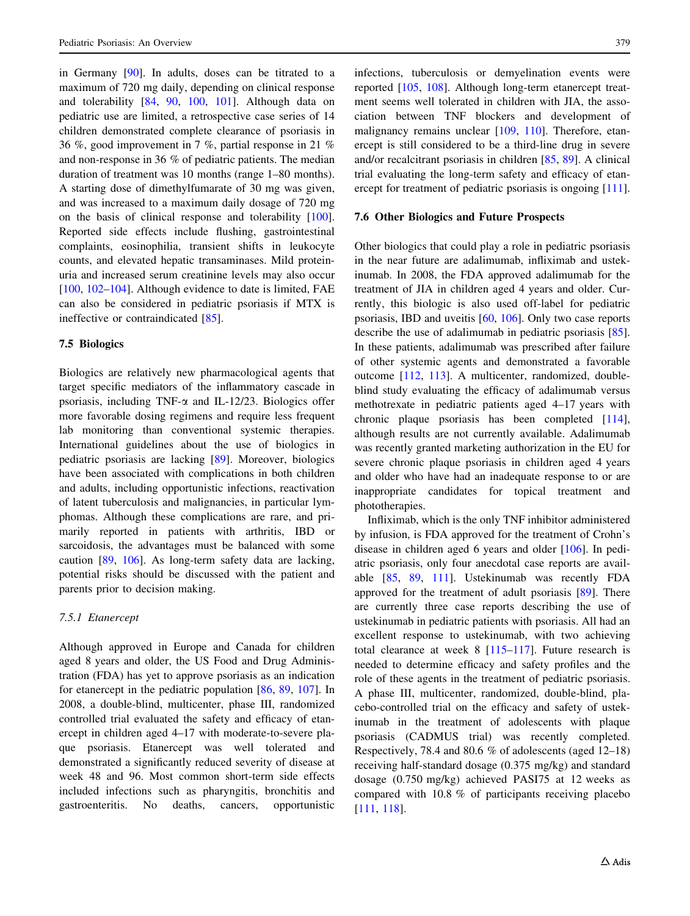in Germany [[90\]](#page-10-0). In adults, doses can be titrated to a maximum of 720 mg daily, depending on clinical response and tolerability [\[84,](#page-10-0) [90,](#page-10-0) [100](#page-11-0), [101\]](#page-11-0). Although data on pediatric use are limited, a retrospective case series of 14 children demonstrated complete clearance of psoriasis in 36 %, good improvement in 7 %, partial response in 21 % and non-response in 36 % of pediatric patients. The median duration of treatment was 10 months (range 1–80 months). A starting dose of dimethylfumarate of 30 mg was given, and was increased to a maximum daily dosage of 720 mg on the basis of clinical response and tolerability [\[100](#page-11-0)]. Reported side effects include flushing, gastrointestinal complaints, eosinophilia, transient shifts in leukocyte counts, and elevated hepatic transaminases. Mild proteinuria and increased serum creatinine levels may also occur [\[100](#page-11-0), [102–104\]](#page-11-0). Although evidence to date is limited, FAE can also be considered in pediatric psoriasis if MTX is ineffective or contraindicated [\[85](#page-10-0)].

#### 7.5 Biologics

Biologics are relatively new pharmacological agents that target specific mediators of the inflammatory cascade in psoriasis, including TNF- $\alpha$  and IL-12/23. Biologics offer more favorable dosing regimens and require less frequent lab monitoring than conventional systemic therapies. International guidelines about the use of biologics in pediatric psoriasis are lacking [\[89](#page-10-0)]. Moreover, biologics have been associated with complications in both children and adults, including opportunistic infections, reactivation of latent tuberculosis and malignancies, in particular lymphomas. Although these complications are rare, and primarily reported in patients with arthritis, IBD or sarcoidosis, the advantages must be balanced with some caution [\[89](#page-10-0), [106](#page-11-0)]. As long-term safety data are lacking, potential risks should be discussed with the patient and parents prior to decision making.

## 7.5.1 Etanercept

Although approved in Europe and Canada for children aged 8 years and older, the US Food and Drug Administration (FDA) has yet to approve psoriasis as an indication for etanercept in the pediatric population [\[86](#page-10-0), [89,](#page-10-0) [107\]](#page-11-0). In 2008, a double-blind, multicenter, phase III, randomized controlled trial evaluated the safety and efficacy of etanercept in children aged 4–17 with moderate-to-severe plaque psoriasis. Etanercept was well tolerated and demonstrated a significantly reduced severity of disease at week 48 and 96. Most common short-term side effects included infections such as pharyngitis, bronchitis and gastroenteritis. No deaths, cancers, opportunistic infections, tuberculosis or demyelination events were reported [[105,](#page-11-0) [108](#page-11-0)]. Although long-term etanercept treatment seems well tolerated in children with JIA, the association between TNF blockers and development of malignancy remains unclear [[109,](#page-11-0) [110\]](#page-11-0). Therefore, etanercept is still considered to be a third-line drug in severe and/or recalcitrant psoriasis in children [\[85](#page-10-0), [89\]](#page-10-0). A clinical trial evaluating the long-term safety and efficacy of etan-ercept for treatment of pediatric psoriasis is ongoing [\[111](#page-11-0)].

#### 7.6 Other Biologics and Future Prospects

Other biologics that could play a role in pediatric psoriasis in the near future are adalimumab, infliximab and ustekinumab. In 2008, the FDA approved adalimumab for the treatment of JIA in children aged 4 years and older. Currently, this biologic is also used off-label for pediatric psoriasis, IBD and uveitis [[60,](#page-10-0) [106](#page-11-0)]. Only two case reports describe the use of adalimumab in pediatric psoriasis [\[85](#page-10-0)]. In these patients, adalimumab was prescribed after failure of other systemic agents and demonstrated a favorable outcome [\[112](#page-11-0), [113](#page-11-0)]. A multicenter, randomized, doubleblind study evaluating the efficacy of adalimumab versus methotrexate in pediatric patients aged 4–17 years with chronic plaque psoriasis has been completed [\[114](#page-11-0)], although results are not currently available. Adalimumab was recently granted marketing authorization in the EU for severe chronic plaque psoriasis in children aged 4 years and older who have had an inadequate response to or are inappropriate candidates for topical treatment and phototherapies.

Infliximab, which is the only TNF inhibitor administered by infusion, is FDA approved for the treatment of Crohn's disease in children aged 6 years and older [\[106](#page-11-0)]. In pediatric psoriasis, only four anecdotal case reports are available [[85,](#page-10-0) [89](#page-10-0), [111](#page-11-0)]. Ustekinumab was recently FDA approved for the treatment of adult psoriasis [[89\]](#page-10-0). There are currently three case reports describing the use of ustekinumab in pediatric patients with psoriasis. All had an excellent response to ustekinumab, with two achieving total clearance at week 8 [[115–117\]](#page-11-0). Future research is needed to determine efficacy and safety profiles and the role of these agents in the treatment of pediatric psoriasis. A phase III, multicenter, randomized, double-blind, placebo-controlled trial on the efficacy and safety of ustekinumab in the treatment of adolescents with plaque psoriasis (CADMUS trial) was recently completed. Respectively, 78.4 and 80.6 % of adolescents (aged 12–18) receiving half-standard dosage (0.375 mg/kg) and standard dosage (0.750 mg/kg) achieved PASI75 at 12 weeks as compared with 10.8 % of participants receiving placebo [\[111](#page-11-0), [118](#page-11-0)].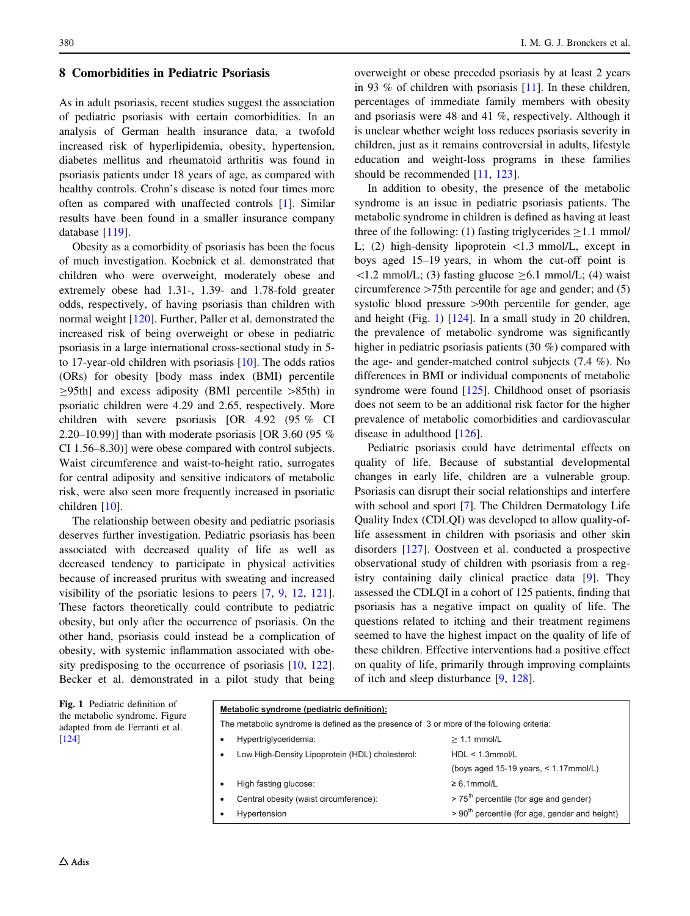#### 8 Comorbidities in Pediatric Psoriasis

As in adult psoriasis, recent studies suggest the association of pediatric psoriasis with certain comorbidities. In an analysis of German health insurance data, a twofold increased risk of hyperlipidemia, obesity, hypertension, diabetes mellitus and rheumatoid arthritis was found in psoriasis patients under 18 years of age, as compared with healthy controls. Crohn's disease is noted four times more often as compared with unaffected controls [[1\]](#page-8-0). Similar results have been found in a smaller insurance company database [\[119](#page-11-0)].

Obesity as a comorbidity of psoriasis has been the focus of much investigation. Koebnick et al. demonstrated that children who were overweight, moderately obese and extremely obese had 1.31-, 1.39- and 1.78-fold greater odds, respectively, of having psoriasis than children with normal weight [[120\]](#page-11-0). Further, Paller et al. demonstrated the increased risk of being overweight or obese in pediatric psoriasis in a large international cross-sectional study in 5 to 17-year-old children with psoriasis [\[10](#page-8-0)]. The odds ratios (ORs) for obesity [body mass index (BMI) percentile  $\geq$ 95th] and excess adiposity (BMI percentile  $>$ 85th) in psoriatic children were 4.29 and 2.65, respectively. More children with severe psoriasis [OR 4.92 (95 % CI 2.20–10.99)] than with moderate psoriasis [OR 3.60 (95 % CI 1.56–8.30)] were obese compared with control subjects. Waist circumference and waist-to-height ratio, surrogates for central adiposity and sensitive indicators of metabolic risk, were also seen more frequently increased in psoriatic children [[10\]](#page-8-0).

The relationship between obesity and pediatric psoriasis deserves further investigation. Pediatric psoriasis has been associated with decreased quality of life as well as decreased tendency to participate in physical activities because of increased pruritus with sweating and increased visibility of the psoriatic lesions to peers [\[7](#page-8-0), [9,](#page-8-0) [12,](#page-8-0) [121](#page-11-0)]. These factors theoretically could contribute to pediatric obesity, but only after the occurrence of psoriasis. On the other hand, psoriasis could instead be a complication of obesity, with systemic inflammation associated with obesity predisposing to the occurrence of psoriasis [\[10](#page-8-0), [122](#page-11-0)]. Becker et al. demonstrated in a pilot study that being overweight or obese preceded psoriasis by at least 2 years in 93 % of children with psoriasis [[11\]](#page-8-0). In these children, percentages of immediate family members with obesity and psoriasis were 48 and 41 %, respectively. Although it is unclear whether weight loss reduces psoriasis severity in children, just as it remains controversial in adults, lifestyle education and weight-loss programs in these families should be recommended [\[11](#page-8-0), [123](#page-11-0)].

In addition to obesity, the presence of the metabolic syndrome is an issue in pediatric psoriasis patients. The metabolic syndrome in children is defined as having at least three of the following: (1) fasting triglycerides  $\geq$ 1.1 mmol/ L; (2) high-density lipoprotein  $\langle 1.3 \text{ mmol/L} \rangle$ , except in boys aged 15–19 years, in whom the cut-off point is  $\leq$ 1.2 mmol/L; (3) fasting glucose  $\geq$ 6.1 mmol/L; (4) waist circumference  $>75$ th percentile for age and gender; and (5) systolic blood pressure  $>90$ th percentile for gender, age and height (Fig. 1) [\[124](#page-11-0)]. In a small study in 20 children, the prevalence of metabolic syndrome was significantly higher in pediatric psoriasis patients (30 %) compared with the age- and gender-matched control subjects (7.4 %). No differences in BMI or individual components of metabolic syndrome were found [\[125](#page-11-0)]. Childhood onset of psoriasis does not seem to be an additional risk factor for the higher prevalence of metabolic comorbidities and cardiovascular disease in adulthood [\[126](#page-11-0)].

Pediatric psoriasis could have detrimental effects on quality of life. Because of substantial developmental changes in early life, children are a vulnerable group. Psoriasis can disrupt their social relationships and interfere with school and sport [\[7](#page-8-0)]. The Children Dermatology Life Quality Index (CDLQI) was developed to allow quality-oflife assessment in children with psoriasis and other skin disorders [\[127](#page-11-0)]. Oostveen et al. conducted a prospective observational study of children with psoriasis from a registry containing daily clinical practice data [\[9](#page-8-0)]. They assessed the CDLQI in a cohort of 125 patients, finding that psoriasis has a negative impact on quality of life. The questions related to itching and their treatment regimens seemed to have the highest impact on the quality of life of these children. Effective interventions had a positive effect on quality of life, primarily through improving complaints of itch and sleep disturbance [[9,](#page-8-0) [128](#page-11-0)].

Fig. 1 Pediatric definition of the metabolic syndrome. Figure adapted from de Ferranti et al. [[124\]](#page-11-0)

| Metabolic syndrome (pediatric definition):                                                |                                                    |
|-------------------------------------------------------------------------------------------|----------------------------------------------------|
| The metabolic syndrome is defined as the presence of 3 or more of the following criteria: |                                                    |
| Hypertriglyceridemia:                                                                     | $> 1.1$ mmol/L                                     |
| Low High-Density Lipoprotein (HDL) cholesterol:<br>٠                                      | $HDL < 1.3$ mmol/L                                 |
|                                                                                           | (boys aged 15-19 years, $\leq$ 1.17mmol/L)         |
| High fasting glucose:                                                                     | $\geq 6$ 1 mmol/l                                  |
| Central obesity (waist circumference):<br>٠                                               | > 75 <sup>th</sup> percentile (for age and gender) |
| Hypertension                                                                              | $> 90th$ percentile (for age, gender and height)   |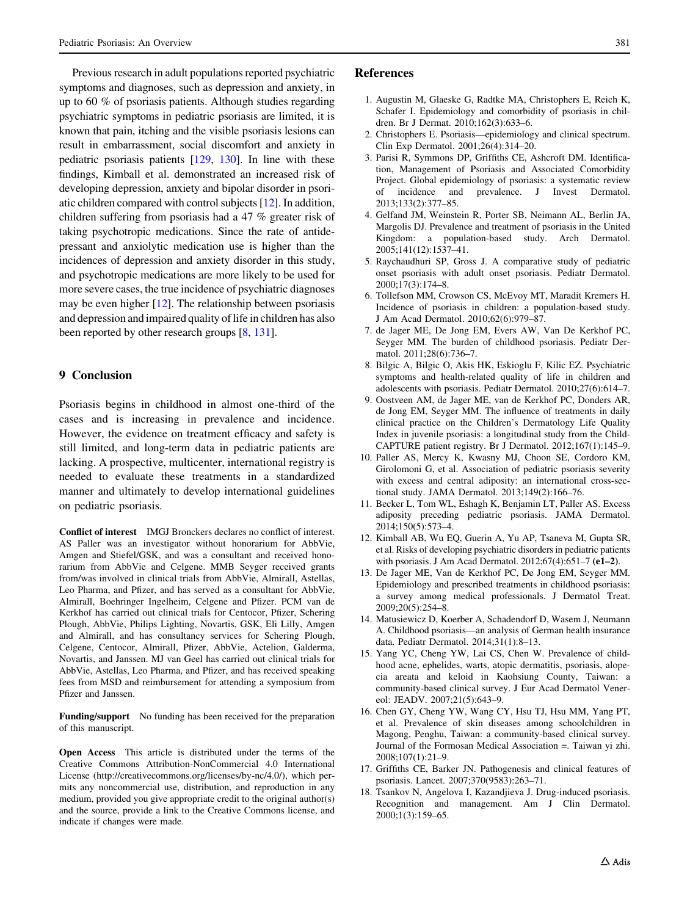<span id="page-8-0"></span>Previous research in adult populations reported psychiatric symptoms and diagnoses, such as depression and anxiety, in up to 60 % of psoriasis patients. Although studies regarding psychiatric symptoms in pediatric psoriasis are limited, it is known that pain, itching and the visible psoriasis lesions can result in embarrassment, social discomfort and anxiety in pediatric psoriasis patients [\[129](#page-11-0), [130\]](#page-11-0). In line with these findings, Kimball et al. demonstrated an increased risk of developing depression, anxiety and bipolar disorder in psoriatic children compared with control subjects [12]. In addition, children suffering from psoriasis had a 47 % greater risk of taking psychotropic medications. Since the rate of antidepressant and anxiolytic medication use is higher than the incidences of depression and anxiety disorder in this study, and psychotropic medications are more likely to be used for more severe cases, the true incidence of psychiatric diagnoses may be even higher [12]. The relationship between psoriasis and depression and impaired quality of life in children has also been reported by other research groups [8, [131\]](#page-11-0).

#### 9 Conclusion

Psoriasis begins in childhood in almost one-third of the cases and is increasing in prevalence and incidence. However, the evidence on treatment efficacy and safety is still limited, and long-term data in pediatric patients are lacking. A prospective, multicenter, international registry is needed to evaluate these treatments in a standardized manner and ultimately to develop international guidelines on pediatric psoriasis.

Conflict of interest IMGJ Bronckers declares no conflict of interest. AS Paller was an investigator without honorarium for AbbVie, Amgen and Stiefel/GSK, and was a consultant and received honorarium from AbbVie and Celgene. MMB Seyger received grants from/was involved in clinical trials from AbbVie, Almirall, Astellas, Leo Pharma, and Pfizer, and has served as a consultant for AbbVie, Almirall, Boehringer Ingelheim, Celgene and Pfizer. PCM van de Kerkhof has carried out clinical trials for Centocor, Pfizer, Schering Plough, AbbVie, Philips Lighting, Novartis, GSK, Eli Lilly, Amgen and Almirall, and has consultancy services for Schering Plough, Celgene, Centocor, Almirall, Pfizer, AbbVie, Actelion, Galderma, Novartis, and Janssen. MJ van Geel has carried out clinical trials for AbbVie, Astellas, Leo Pharma, and Pfizer, and has received speaking fees from MSD and reimbursement for attending a symposium from Pfizer and Janssen.

Funding/support No funding has been received for the preparation of this manuscript.

Open Access This article is distributed under the terms of the Creative Commons Attribution-NonCommercial 4.0 International License (http://creativecommons.org/licenses/by-nc/4.0/), which permits any noncommercial use, distribution, and reproduction in any medium, provided you give appropriate credit to the original author(s) and the source, provide a link to the Creative Commons license, and indicate if changes were made.

# References

- 1. Augustin M, Glaeske G, Radtke MA, Christophers E, Reich K, Schafer I. Epidemiology and comorbidity of psoriasis in children. Br J Dermat. 2010;162(3):633–6.
- 2. Christophers E. Psoriasis—epidemiology and clinical spectrum. Clin Exp Dermatol. 2001;26(4):314–20.
- 3. Parisi R, Symmons DP, Griffiths CE, Ashcroft DM. Identification, Management of Psoriasis and Associated Comorbidity Project. Global epidemiology of psoriasis: a systematic review of incidence and prevalence. J Invest Dermatol. 2013;133(2):377–85.
- 4. Gelfand JM, Weinstein R, Porter SB, Neimann AL, Berlin JA, Margolis DJ. Prevalence and treatment of psoriasis in the United Kingdom: a population-based study. Arch Dermatol. 2005;141(12):1537–41.
- 5. Raychaudhuri SP, Gross J. A comparative study of pediatric onset psoriasis with adult onset psoriasis. Pediatr Dermatol. 2000;17(3):174–8.
- 6. Tollefson MM, Crowson CS, McEvoy MT, Maradit Kremers H. Incidence of psoriasis in children: a population-based study. J Am Acad Dermatol. 2010;62(6):979–87.
- 7. de Jager ME, De Jong EM, Evers AW, Van De Kerkhof PC, Seyger MM. The burden of childhood psoriasis. Pediatr Dermatol. 2011;28(6):736–7.
- 8. Bilgic A, Bilgic O, Akis HK, Eskioglu F, Kilic EZ. Psychiatric symptoms and health-related quality of life in children and adolescents with psoriasis. Pediatr Dermatol. 2010;27(6):614–7.
- 9. Oostveen AM, de Jager ME, van de Kerkhof PC, Donders AR, de Jong EM, Seyger MM. The influence of treatments in daily clinical practice on the Children's Dermatology Life Quality Index in juvenile psoriasis: a longitudinal study from the Child-CAPTURE patient registry. Br J Dermatol. 2012;167(1):145–9.
- 10. Paller AS, Mercy K, Kwasny MJ, Choon SE, Cordoro KM, Girolomoni G, et al. Association of pediatric psoriasis severity with excess and central adiposity: an international cross-sectional study. JAMA Dermatol. 2013;149(2):166–76.
- 11. Becker L, Tom WL, Eshagh K, Benjamin LT, Paller AS. Excess adiposity preceding pediatric psoriasis. JAMA Dermatol. 2014;150(5):573–4.
- 12. Kimball AB, Wu EQ, Guerin A, Yu AP, Tsaneva M, Gupta SR, et al. Risks of developing psychiatric disorders in pediatric patients with psoriasis. J Am Acad Dermatol. 2012;67(4):651–7 (e1–2).
- 13. De Jager ME, Van de Kerkhof PC, De Jong EM, Seyger MM. Epidemiology and prescribed treatments in childhood psoriasis: a survey among medical professionals. J Dermatol Treat. 2009;20(5):254–8.
- 14. Matusiewicz D, Koerber A, Schadendorf D, Wasem J, Neumann A. Childhood psoriasis—an analysis of German health insurance data. Pediatr Dermatol. 2014;31(1):8–13.
- 15. Yang YC, Cheng YW, Lai CS, Chen W. Prevalence of childhood acne, ephelides, warts, atopic dermatitis, psoriasis, alopecia areata and keloid in Kaohsiung County, Taiwan: a community-based clinical survey. J Eur Acad Dermatol Venereol: JEADV. 2007;21(5):643–9.
- 16. Chen GY, Cheng YW, Wang CY, Hsu TJ, Hsu MM, Yang PT, et al. Prevalence of skin diseases among schoolchildren in Magong, Penghu, Taiwan: a community-based clinical survey. Journal of the Formosan Medical Association =. Taiwan yi zhi. 2008;107(1):21–9.
- 17. Griffiths CE, Barker JN. Pathogenesis and clinical features of psoriasis. Lancet. 2007;370(9583):263–71.
- 18. Tsankov N, Angelova I, Kazandjieva J. Drug-induced psoriasis. Recognition and management. Am J Clin Dermatol. 2000;1(3):159–65.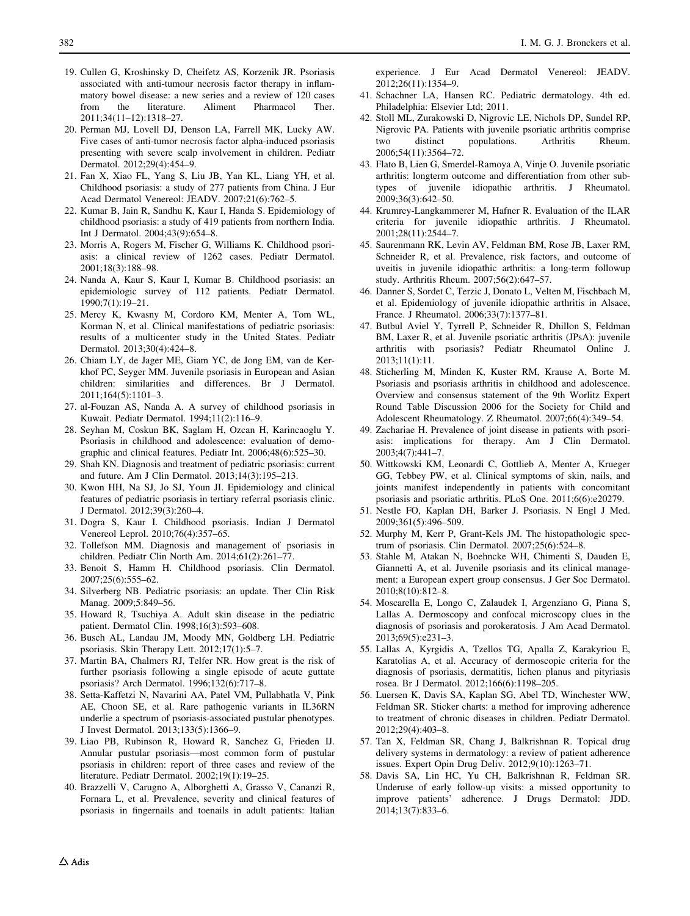- <span id="page-9-0"></span>19. Cullen G, Kroshinsky D, Cheifetz AS, Korzenik JR. Psoriasis associated with anti-tumour necrosis factor therapy in inflammatory bowel disease: a new series and a review of 120 cases from the literature. Aliment Pharmacol Ther. 2011;34(11–12):1318–27.
- 20. Perman MJ, Lovell DJ, Denson LA, Farrell MK, Lucky AW. Five cases of anti-tumor necrosis factor alpha-induced psoriasis presenting with severe scalp involvement in children. Pediatr Dermatol. 2012;29(4):454–9.
- 21. Fan X, Xiao FL, Yang S, Liu JB, Yan KL, Liang YH, et al. Childhood psoriasis: a study of 277 patients from China. J Eur Acad Dermatol Venereol: JEADV. 2007;21(6):762–5.
- 22. Kumar B, Jain R, Sandhu K, Kaur I, Handa S. Epidemiology of childhood psoriasis: a study of 419 patients from northern India. Int J Dermatol. 2004;43(9):654–8.
- 23. Morris A, Rogers M, Fischer G, Williams K. Childhood psoriasis: a clinical review of 1262 cases. Pediatr Dermatol. 2001;18(3):188–98.
- 24. Nanda A, Kaur S, Kaur I, Kumar B. Childhood psoriasis: an epidemiologic survey of 112 patients. Pediatr Dermatol. 1990;7(1):19–21.
- 25. Mercy K, Kwasny M, Cordoro KM, Menter A, Tom WL, Korman N, et al. Clinical manifestations of pediatric psoriasis: results of a multicenter study in the United States. Pediatr Dermatol. 2013;30(4):424–8.
- 26. Chiam LY, de Jager ME, Giam YC, de Jong EM, van de Kerkhof PC, Seyger MM. Juvenile psoriasis in European and Asian children: similarities and differences. Br J Dermatol. 2011;164(5):1101–3.
- 27. al-Fouzan AS, Nanda A. A survey of childhood psoriasis in Kuwait. Pediatr Dermatol. 1994;11(2):116–9.
- 28. Seyhan M, Coskun BK, Saglam H, Ozcan H, Karincaoglu Y. Psoriasis in childhood and adolescence: evaluation of demographic and clinical features. Pediatr Int. 2006;48(6):525–30.
- 29. Shah KN. Diagnosis and treatment of pediatric psoriasis: current and future. Am J Clin Dermatol. 2013;14(3):195–213.
- 30. Kwon HH, Na SJ, Jo SJ, Youn JI. Epidemiology and clinical features of pediatric psoriasis in tertiary referral psoriasis clinic. J Dermatol. 2012;39(3):260–4.
- 31. Dogra S, Kaur I. Childhood psoriasis. Indian J Dermatol Venereol Leprol. 2010;76(4):357–65.
- 32. Tollefson MM. Diagnosis and management of psoriasis in children. Pediatr Clin North Am. 2014;61(2):261–77.
- 33. Benoit S, Hamm H. Childhood psoriasis. Clin Dermatol. 2007;25(6):555–62.
- 34. Silverberg NB. Pediatric psoriasis: an update. Ther Clin Risk Manag. 2009;5:849–56.
- 35. Howard R, Tsuchiya A. Adult skin disease in the pediatric patient. Dermatol Clin. 1998;16(3):593–608.
- 36. Busch AL, Landau JM, Moody MN, Goldberg LH. Pediatric psoriasis. Skin Therapy Lett. 2012;17(1):5–7.
- 37. Martin BA, Chalmers RJ, Telfer NR. How great is the risk of further psoriasis following a single episode of acute guttate psoriasis? Arch Dermatol. 1996;132(6):717–8.
- 38. Setta-Kaffetzi N, Navarini AA, Patel VM, Pullabhatla V, Pink AE, Choon SE, et al. Rare pathogenic variants in IL36RN underlie a spectrum of psoriasis-associated pustular phenotypes. J Invest Dermatol. 2013;133(5):1366–9.
- 39. Liao PB, Rubinson R, Howard R, Sanchez G, Frieden IJ. Annular pustular psoriasis—most common form of pustular psoriasis in children: report of three cases and review of the literature. Pediatr Dermatol. 2002;19(1):19–25.
- 40. Brazzelli V, Carugno A, Alborghetti A, Grasso V, Cananzi R, Fornara L, et al. Prevalence, severity and clinical features of psoriasis in fingernails and toenails in adult patients: Italian

experience. J Eur Acad Dermatol Venereol: JEADV. 2012;26(11):1354–9.

- 41. Schachner LA, Hansen RC. Pediatric dermatology. 4th ed. Philadelphia: Elsevier Ltd; 2011.
- 42. Stoll ML, Zurakowski D, Nigrovic LE, Nichols DP, Sundel RP, Nigrovic PA. Patients with juvenile psoriatic arthritis comprise<br>two distinct populations. Arthritis Rheum. two distinct populations. 2006;54(11):3564–72.
- 43. Flato B, Lien G, Smerdel-Ramoya A, Vinje O. Juvenile psoriatic arthritis: longterm outcome and differentiation from other subtypes of juvenile idiopathic arthritis. J Rheumatol. 2009;36(3):642–50.
- 44. Krumrey-Langkammerer M, Hafner R. Evaluation of the ILAR criteria for juvenile idiopathic arthritis. J Rheumatol. 2001;28(11):2544–7.
- 45. Saurenmann RK, Levin AV, Feldman BM, Rose JB, Laxer RM, Schneider R, et al. Prevalence, risk factors, and outcome of uveitis in juvenile idiopathic arthritis: a long-term followup study. Arthritis Rheum. 2007;56(2):647–57.
- 46. Danner S, Sordet C, Terzic J, Donato L, Velten M, Fischbach M, et al. Epidemiology of juvenile idiopathic arthritis in Alsace, France. J Rheumatol. 2006;33(7):1377–81.
- 47. Butbul Aviel Y, Tyrrell P, Schneider R, Dhillon S, Feldman BM, Laxer R, et al. Juvenile psoriatic arthritis (JPsA): juvenile arthritis with psoriasis? Pediatr Rheumatol Online J. 2013;11(1):11.
- 48. Sticherling M, Minden K, Kuster RM, Krause A, Borte M. Psoriasis and psoriasis arthritis in childhood and adolescence. Overview and consensus statement of the 9th Worlitz Expert Round Table Discussion 2006 for the Society for Child and Adolescent Rheumatology. Z Rheumatol. 2007;66(4):349–54.
- 49. Zachariae H. Prevalence of joint disease in patients with psoriasis: implications for therapy. Am J Clin Dermatol. 2003;4(7):441–7.
- 50. Wittkowski KM, Leonardi C, Gottlieb A, Menter A, Krueger GG, Tebbey PW, et al. Clinical symptoms of skin, nails, and joints manifest independently in patients with concomitant psoriasis and psoriatic arthritis. PLoS One. 2011;6(6):e20279.
- 51. Nestle FO, Kaplan DH, Barker J. Psoriasis. N Engl J Med. 2009;361(5):496–509.
- 52. Murphy M, Kerr P, Grant-Kels JM. The histopathologic spectrum of psoriasis. Clin Dermatol. 2007;25(6):524–8.
- 53. Stahle M, Atakan N, Boehncke WH, Chimenti S, Dauden E, Giannetti A, et al. Juvenile psoriasis and its clinical management: a European expert group consensus. J Ger Soc Dermatol. 2010;8(10):812–8.
- 54. Moscarella E, Longo C, Zalaudek I, Argenziano G, Piana S, Lallas A. Dermoscopy and confocal microscopy clues in the diagnosis of psoriasis and porokeratosis. J Am Acad Dermatol. 2013;69(5):e231–3.
- 55. Lallas A, Kyrgidis A, Tzellos TG, Apalla Z, Karakyriou E, Karatolias A, et al. Accuracy of dermoscopic criteria for the diagnosis of psoriasis, dermatitis, lichen planus and pityriasis rosea. Br J Dermatol. 2012;166(6):1198–205.
- 56. Luersen K, Davis SA, Kaplan SG, Abel TD, Winchester WW, Feldman SR. Sticker charts: a method for improving adherence to treatment of chronic diseases in children. Pediatr Dermatol. 2012;29(4):403–8.
- 57. Tan X, Feldman SR, Chang J, Balkrishnan R. Topical drug delivery systems in dermatology: a review of patient adherence issues. Expert Opin Drug Deliv. 2012;9(10):1263–71.
- 58. Davis SA, Lin HC, Yu CH, Balkrishnan R, Feldman SR. Underuse of early follow-up visits: a missed opportunity to improve patients' adherence. J Drugs Dermatol: JDD. 2014;13(7):833–6.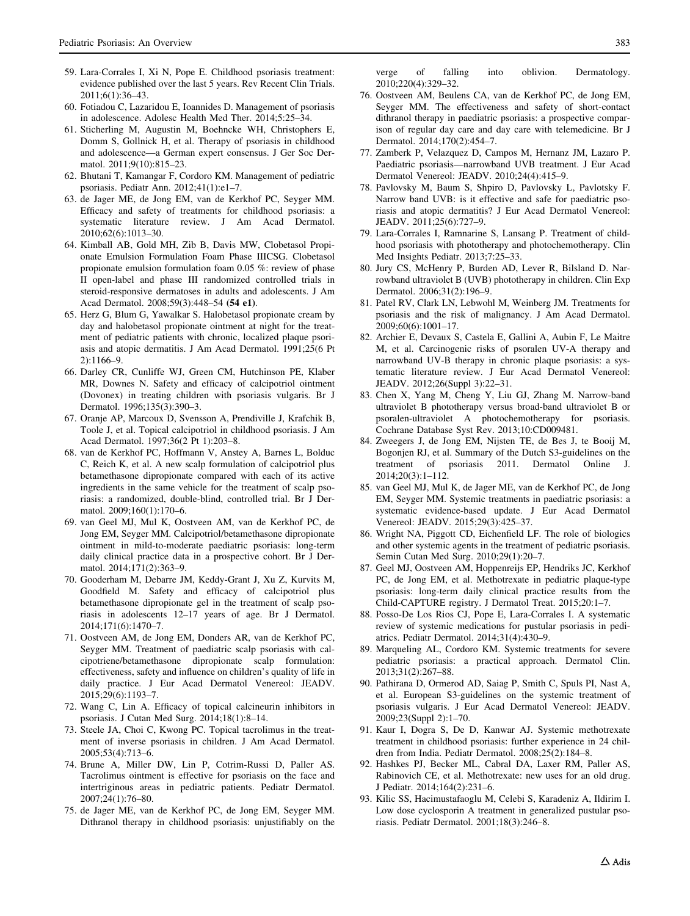- <span id="page-10-0"></span>59. Lara-Corrales I, Xi N, Pope E. Childhood psoriasis treatment: evidence published over the last 5 years. Rev Recent Clin Trials. 2011;6(1):36–43.
- 60. Fotiadou C, Lazaridou E, Ioannides D. Management of psoriasis in adolescence. Adolesc Health Med Ther. 2014;5:25–34.
- 61. Sticherling M, Augustin M, Boehncke WH, Christophers E, Domm S, Gollnick H, et al. Therapy of psoriasis in childhood and adolescence—a German expert consensus. J Ger Soc Dermatol. 2011;9(10):815–23.
- 62. Bhutani T, Kamangar F, Cordoro KM. Management of pediatric psoriasis. Pediatr Ann. 2012;41(1):e1–7.
- 63. de Jager ME, de Jong EM, van de Kerkhof PC, Seyger MM. Efficacy and safety of treatments for childhood psoriasis: a systematic literature review. J Am Acad Dermatol. 2010;62(6):1013–30.
- 64. Kimball AB, Gold MH, Zib B, Davis MW, Clobetasol Propionate Emulsion Formulation Foam Phase IIICSG. Clobetasol propionate emulsion formulation foam 0.05 %: review of phase II open-label and phase III randomized controlled trials in steroid-responsive dermatoses in adults and adolescents. J Am Acad Dermatol. 2008;59(3):448–54 (54 e1).
- 65. Herz G, Blum G, Yawalkar S. Halobetasol propionate cream by day and halobetasol propionate ointment at night for the treatment of pediatric patients with chronic, localized plaque psoriasis and atopic dermatitis. J Am Acad Dermatol. 1991;25(6 Pt 2):1166–9.
- 66. Darley CR, Cunliffe WJ, Green CM, Hutchinson PE, Klaber MR, Downes N. Safety and efficacy of calcipotriol ointment (Dovonex) in treating children with psoriasis vulgaris. Br J Dermatol. 1996;135(3):390–3.
- 67. Oranje AP, Marcoux D, Svensson A, Prendiville J, Krafchik B, Toole J, et al. Topical calcipotriol in childhood psoriasis. J Am Acad Dermatol. 1997;36(2 Pt 1):203–8.
- 68. van de Kerkhof PC, Hoffmann V, Anstey A, Barnes L, Bolduc C, Reich K, et al. A new scalp formulation of calcipotriol plus betamethasone dipropionate compared with each of its active ingredients in the same vehicle for the treatment of scalp psoriasis: a randomized, double-blind, controlled trial. Br J Dermatol. 2009;160(1):170–6.
- 69. van Geel MJ, Mul K, Oostveen AM, van de Kerkhof PC, de Jong EM, Seyger MM. Calcipotriol/betamethasone dipropionate ointment in mild-to-moderate paediatric psoriasis: long-term daily clinical practice data in a prospective cohort. Br J Dermatol. 2014;171(2):363–9.
- 70. Gooderham M, Debarre JM, Keddy-Grant J, Xu Z, Kurvits M, Goodfield M. Safety and efficacy of calcipotriol plus betamethasone dipropionate gel in the treatment of scalp psoriasis in adolescents 12–17 years of age. Br J Dermatol. 2014;171(6):1470–7.
- 71. Oostveen AM, de Jong EM, Donders AR, van de Kerkhof PC, Seyger MM. Treatment of paediatric scalp psoriasis with calcipotriene/betamethasone dipropionate scalp formulation: effectiveness, safety and influence on children's quality of life in daily practice. J Eur Acad Dermatol Venereol: JEADV. 2015;29(6):1193–7.
- 72. Wang C, Lin A. Efficacy of topical calcineurin inhibitors in psoriasis. J Cutan Med Surg. 2014;18(1):8–14.
- 73. Steele JA, Choi C, Kwong PC. Topical tacrolimus in the treatment of inverse psoriasis in children. J Am Acad Dermatol. 2005;53(4):713–6.
- 74. Brune A, Miller DW, Lin P, Cotrim-Russi D, Paller AS. Tacrolimus ointment is effective for psoriasis on the face and intertriginous areas in pediatric patients. Pediatr Dermatol. 2007;24(1):76–80.
- 75. de Jager ME, van de Kerkhof PC, de Jong EM, Seyger MM. Dithranol therapy in childhood psoriasis: unjustifiably on the

verge of falling into oblivion. Dermatology. 2010;220(4):329–32.

- 76. Oostveen AM, Beulens CA, van de Kerkhof PC, de Jong EM, Seyger MM. The effectiveness and safety of short-contact dithranol therapy in paediatric psoriasis: a prospective comparison of regular day care and day care with telemedicine. Br J Dermatol. 2014;170(2):454–7.
- 77. Zamberk P, Velazquez D, Campos M, Hernanz JM, Lazaro P. Paediatric psoriasis—narrowband UVB treatment. J Eur Acad Dermatol Venereol: JEADV. 2010;24(4):415–9.
- 78. Pavlovsky M, Baum S, Shpiro D, Pavlovsky L, Pavlotsky F. Narrow band UVB: is it effective and safe for paediatric psoriasis and atopic dermatitis? J Eur Acad Dermatol Venereol: JEADV. 2011;25(6):727–9.
- 79. Lara-Corrales I, Ramnarine S, Lansang P. Treatment of childhood psoriasis with phototherapy and photochemotherapy. Clin Med Insights Pediatr. 2013;7:25–33.
- 80. Jury CS, McHenry P, Burden AD, Lever R, Bilsland D. Narrowband ultraviolet B (UVB) phototherapy in children. Clin Exp Dermatol. 2006;31(2):196–9.
- 81. Patel RV, Clark LN, Lebwohl M, Weinberg JM. Treatments for psoriasis and the risk of malignancy. J Am Acad Dermatol. 2009;60(6):1001–17.
- 82. Archier E, Devaux S, Castela E, Gallini A, Aubin F, Le Maitre M, et al. Carcinogenic risks of psoralen UV-A therapy and narrowband UV-B therapy in chronic plaque psoriasis: a systematic literature review. J Eur Acad Dermatol Venereol: JEADV. 2012;26(Suppl 3):22–31.
- 83. Chen X, Yang M, Cheng Y, Liu GJ, Zhang M. Narrow-band ultraviolet B phototherapy versus broad-band ultraviolet B or psoralen-ultraviolet A photochemotherapy for psoriasis. Cochrane Database Syst Rev. 2013;10:CD009481.
- 84. Zweegers J, de Jong EM, Nijsten TE, de Bes J, te Booij M, Bogonjen RJ, et al. Summary of the Dutch S3-guidelines on the treatment of psoriasis 2011. Dermatol Online J. 2014;20(3):1–112.
- 85. van Geel MJ, Mul K, de Jager ME, van de Kerkhof PC, de Jong EM, Seyger MM. Systemic treatments in paediatric psoriasis: a systematic evidence-based update. J Eur Acad Dermatol Venereol: JEADV. 2015;29(3):425–37.
- 86. Wright NA, Piggott CD, Eichenfield LF. The role of biologics and other systemic agents in the treatment of pediatric psoriasis. Semin Cutan Med Surg. 2010;29(1):20–7.
- 87. Geel MJ, Oostveen AM, Hoppenreijs EP, Hendriks JC, Kerkhof PC, de Jong EM, et al. Methotrexate in pediatric plaque-type psoriasis: long-term daily clinical practice results from the Child-CAPTURE registry. J Dermatol Treat. 2015;20:1–7.
- 88. Posso-De Los Rios CJ, Pope E, Lara-Corrales I. A systematic review of systemic medications for pustular psoriasis in pediatrics. Pediatr Dermatol. 2014;31(4):430–9.
- 89. Marqueling AL, Cordoro KM. Systemic treatments for severe pediatric psoriasis: a practical approach. Dermatol Clin. 2013;31(2):267–88.
- 90. Pathirana D, Ormerod AD, Saiag P, Smith C, Spuls PI, Nast A, et al. European S3-guidelines on the systemic treatment of psoriasis vulgaris. J Eur Acad Dermatol Venereol: JEADV. 2009;23(Suppl 2):1–70.
- 91. Kaur I, Dogra S, De D, Kanwar AJ. Systemic methotrexate treatment in childhood psoriasis: further experience in 24 children from India. Pediatr Dermatol. 2008;25(2):184–8.
- 92. Hashkes PJ, Becker ML, Cabral DA, Laxer RM, Paller AS, Rabinovich CE, et al. Methotrexate: new uses for an old drug. J Pediatr. 2014;164(2):231–6.
- 93. Kilic SS, Hacimustafaoglu M, Celebi S, Karadeniz A, Ildirim I. Low dose cyclosporin A treatment in generalized pustular psoriasis. Pediatr Dermatol. 2001;18(3):246–8.